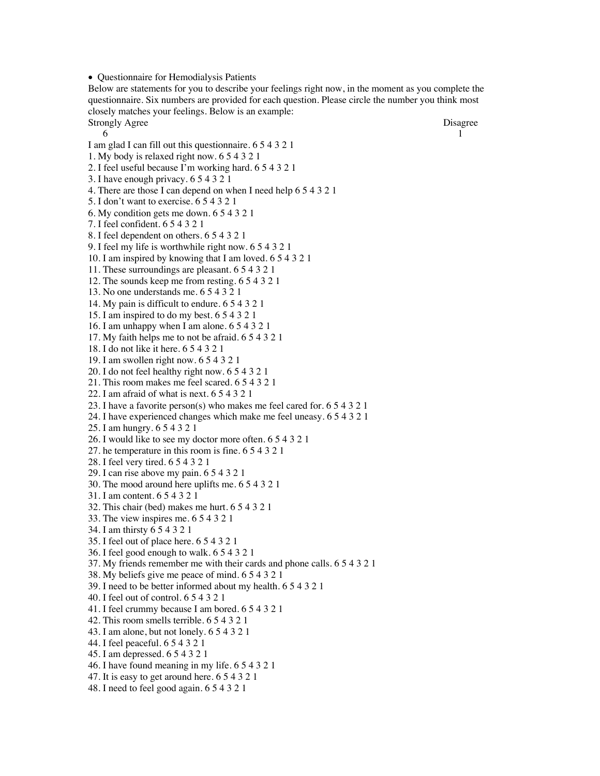• Questionnaire for Hemodialysis Patients

Below are statements for you to describe your feelings right now, in the moment as you complete the questionnaire. Six numbers are provided for each question. Please circle the number you think most closely matches your feelings. Below is an example:

Strongly Agree Disagree Disagree Disagree Disagree Disagree Disagree Disagree Disagree Disagree Disagree Disagree Disagree Disagree Disagree Disagree Disagree Disagree Disagree Disagree Disagree Disagree Disagree Disagree  $\sim$  1 I am glad I can fill out this questionnaire. 6 5 4 3 2 1 1. My body is relaxed right now. 6 5 4 3 2 1 2. I feel useful because I'm working hard. 6 5 4 3 2 1 3. I have enough privacy. 6 5 4 3 2 1 4. There are those I can depend on when I need help 6 5 4 3 2 1 5. I don't want to exercise. 6 5 4 3 2 1 6. My condition gets me down. 6 5 4 3 2 1 7. I feel confident. 6 5 4 3 2 1 8. I feel dependent on others. 6 5 4 3 2 1 9. I feel my life is worthwhile right now. 6 5 4 3 2 1 10. I am inspired by knowing that I am loved. 6 5 4 3 2 1 11. These surroundings are pleasant. 6 5 4 3 2 1 12. The sounds keep me from resting. 6 5 4 3 2 1 13. No one understands me. 6 5 4 3 2 1 14. My pain is difficult to endure. 6 5 4 3 2 1 15. I am inspired to do my best. 6 5 4 3 2 1 16. I am unhappy when I am alone. 6 5 4 3 2 1 17. My faith helps me to not be afraid. 6 5 4 3 2 1 18. I do not like it here. 6 5 4 3 2 1 19. I am swollen right now. 6 5 4 3 2 1 20. I do not feel healthy right now. 6 5 4 3 2 1 21. This room makes me feel scared. 6 5 4 3 2 1 22. I am afraid of what is next. 6 5 4 3 2 1 23. I have a favorite person(s) who makes me feel cared for. 6 5 4 3 2 1 24. I have experienced changes which make me feel uneasy. 6 5 4 3 2 1 25. I am hungry. 6 5 4 3 2 1 26. I would like to see my doctor more often. 6 5 4 3 2 1 27. he temperature in this room is fine. 6 5 4 3 2 1 28. I feel very tired. 6 5 4 3 2 1 29. I can rise above my pain. 6 5 4 3 2 1 30. The mood around here uplifts me. 6 5 4 3 2 1 31. I am content. 6 5 4 3 2 1 32. This chair (bed) makes me hurt. 6 5 4 3 2 1 33. The view inspires me. 6 5 4 3 2 1 34. I am thirsty 6 5 4 3 2 1 35. I feel out of place here. 6 5 4 3 2 1 36. I feel good enough to walk. 6 5 4 3 2 1 37. My friends remember me with their cards and phone calls. 6 5 4 3 2 1 38. My beliefs give me peace of mind. 6 5 4 3 2 1 39. I need to be better informed about my health. 6 5 4 3 2 1 40. I feel out of control. 6 5 4 3 2 1 41. I feel crummy because I am bored. 6 5 4 3 2 1 42. This room smells terrible. 6 5 4 3 2 1 43. I am alone, but not lonely. 6 5 4 3 2 1 44. I feel peaceful. 6 5 4 3 2 1 45. I am depressed. 6 5 4 3 2 1

46. I have found meaning in my life. 6 5 4 3 2 1

47. It is easy to get around here. 6 5 4 3 2 1

48. I need to feel good again. 6 5 4 3 2 1